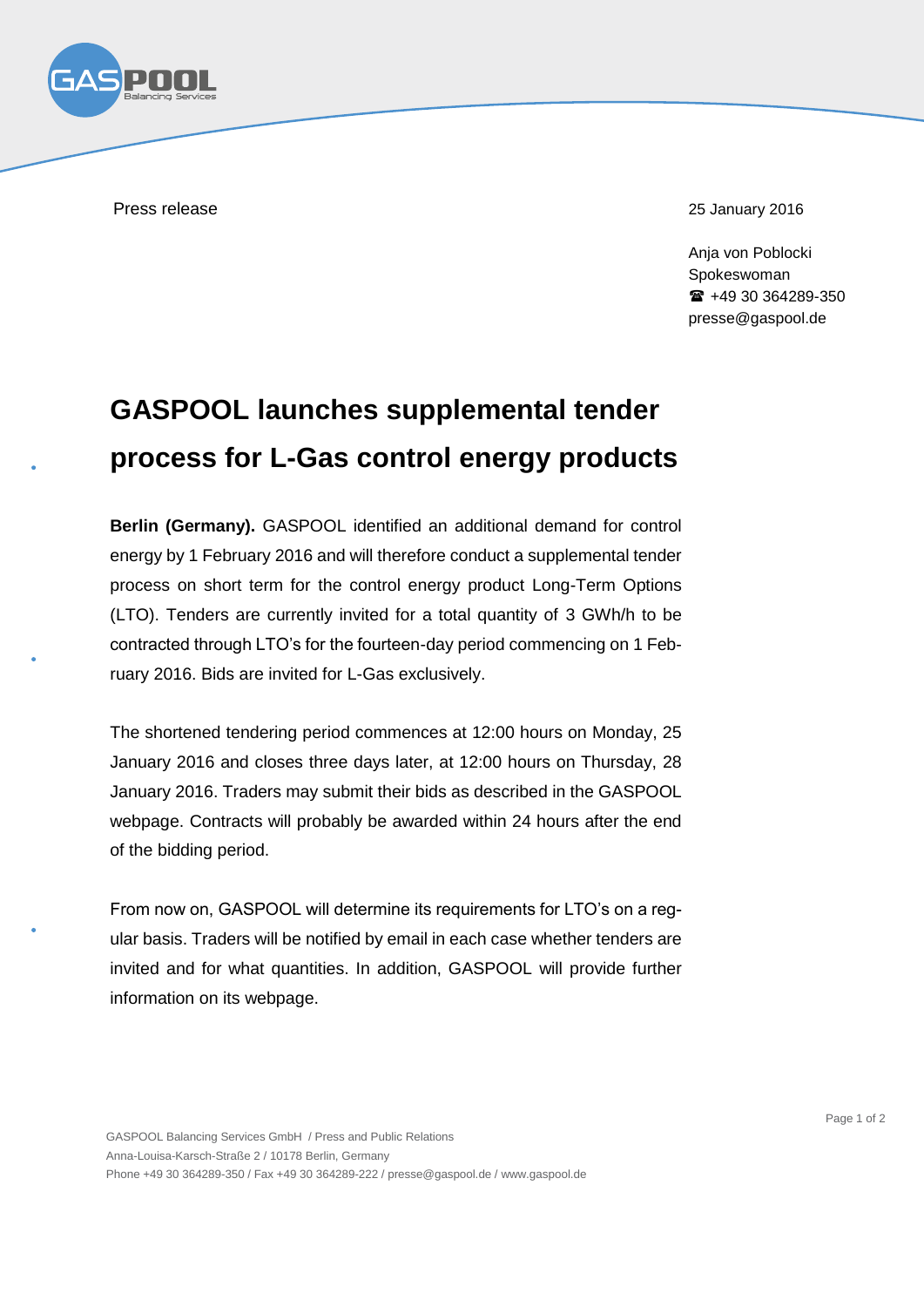

Press release 25 January 2016

Anja von Poblocki Spokeswoman +49 30 364289-350 presse@gaspool.de

## **GASPOOL launches supplemental tender process for L-Gas control energy products**

**Berlin (Germany).** GASPOOL identified an additional demand for control energy by 1 February 2016 and will therefore conduct a supplemental tender process on short term for the control energy product Long-Term Options (LTO). Tenders are currently invited for a total quantity of 3 GWh/h to be contracted through LTO's for the fourteen-day period commencing on 1 February 2016. Bids are invited for L-Gas exclusively.

The shortened tendering period commences at 12:00 hours on Monday, 25 January 2016 and closes three days later, at 12:00 hours on Thursday, 28 January 2016. Traders may submit their bids as described in the GASPOOL webpage. Contracts will probably be awarded within 24 hours after the end of the bidding period.

From now on, GASPOOL will determine its requirements for LTO's on a reqular basis. Traders will be notified by email in each case whether tenders are invited and for what quantities. In addition, GASPOOL will provide further information on its webpage.